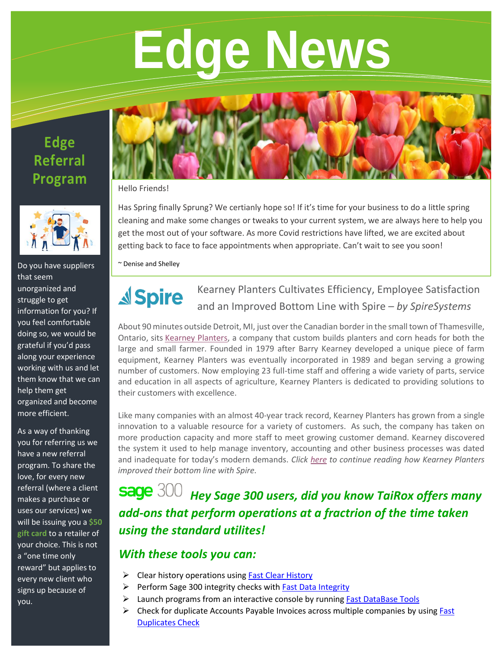# **Edge News**

## **Edge Referral Program**



Do you have suppliers that seem unorganized and struggle to get information for you? If you feel comfortable doing so, we would be grateful if you'd pass along your experience working with us and let them know that we can help them get organized and become more efficient.

As a way of thanking you for referring us we have a new referral program. To share the love, for every new referral (where a client makes a purchase or uses our services) we will be issuing you a **\$50 gift card** to a retailer of your choice. This is not a "one time only reward" but applies to every new client who signs up because of you.



#### Hello Friends!

Has Spring finally Sprung? We certianly hope so! If it's time for your business to do a little spring cleaning and make some changes or tweaks to your current system, we are always here to help you get the most out of your software. As more Covid restrictions have lifted, we are excited about getting back to face to face appointments when appropriate. Can't wait to see you soon!

~ Denise and Shelley

#### Kearney Planters Cultivates Efficiency, Employee Satisfaction **A**Spire and an Improved Bottom Line with Spire – *by SpireSystems*

About 90 minutes outside Detroit, MI, just over the Canadian border in the small town of Thamesville, Ontario, sits [Kearney Planters,](https://kearneyplanters.com/) a company that custom builds planters and corn heads for both the large and small farmer. Founded in 1979 after Barry Kearney developed a unique piece of farm equipment, Kearney Planters was eventually incorporated in 1989 and began serving a growing number of customers. Now employing 23 full-time staff and offering a wide variety of parts, service and education in all aspects of agriculture, Kearney Planters is dedicated to providing solutions to their customers with excellence.

Like many companies with an almost 40-year track record, Kearney Planters has grown from a single innovation to a valuable resource for a variety of customers. As such, the company has taken on more production capacity and more staff to meet growing customer demand. Kearney discovered the system it used to help manage inventory, accounting and other business processes was dated and inadequate for today's modern demands. *Click [here](https://www.spiresystems.com/success-stories/kearney-planters-cultivates-efficiency-employee-satisfaction-and-an-improved-bottom-line-with-spire/) to continue reading how Kearney Planters improved their bottom line with Spire.*

# **Sage** 300 Hey Sage 300 users, did you know TaiRox offers many *add-ons that perform operations at a fractrion of the time taken using the standard utilites!*

## *With these tools you can:*

- ➢ Clear history operations using [Fast Clear History](https://tairox.com/fast-clear-history-for-sage-300-erp-accpac.html)
- ➢ Perform Sage 300 integrity checks with [Fast Data Integrity](https://tairox.com/fast-data-integrity-for-sage-300-erp-accpac.html)
- ➢ Launch programs from an interactive console by running Fast [DataBase Tools](https://tairox.com/fast-dbtools-for-sage-300-erp-accpac.html)
- $\triangleright$  Check for duplicate Accounts Payable Invoices across multiple companies by using Fast [Duplicates Check](https://tairox.com/fast-duplicates-check-for-sage-300-erp-accpac.html)